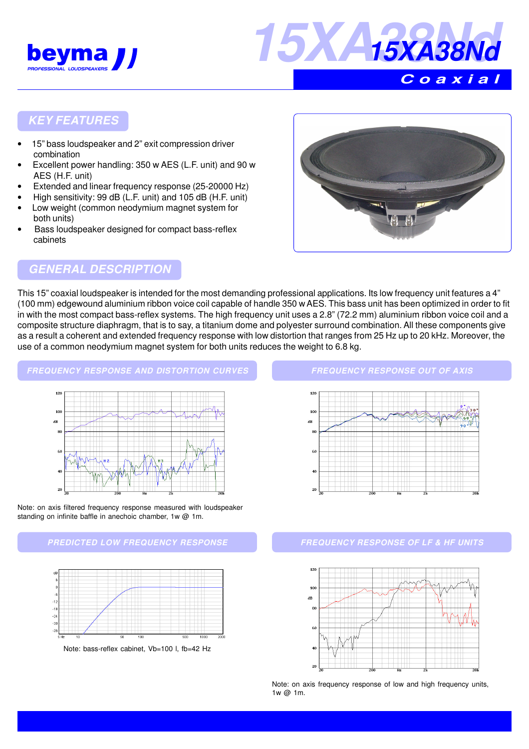



## **KEY FEATURES**

- 15" bass loudspeaker and 2" exit compression driver combination
- Excellent power handling: 350 w AES (L.F. unit) and 90 w AES (H.F. unit)
- Extended and linear frequency response (25-20000 Hz)
- High sensitivity: 99 dB (L.F. unit) and 105 dB (H.F. unit)
- Low weight (common neodymium magnet system for both units)
- Bass loudspeaker designed for compact bass-reflex cabinets

# **GENERAL DESCRIPTION**



This 15" coaxial loudspeaker is intended for the most demanding professional applications. Its low frequency unit features a 4" (100 mm) edgewound aluminium ribbon voice coil capable of handle 350 w AES. This bass unit has been optimized in order to fit in with the most compact bass-reflex systems. The high frequency unit uses a 2.8" (72.2 mm) aluminium ribbon voice coil and a composite structure diaphragm, that is to say, a titanium dome and polyester surround combination. All these components give as a result a coherent and extended frequency response with low distortion that ranges from 25 Hz up to 20 kHz. Moreover, the use of a common neodymium magnet system for both units reduces the weight to 6.8 kg.

# **FREQUENCY RESPONSE AND DISTORTION CURVES**  $120$  $\overline{AB}$



#### **PREDICTED LOW FREQUENCY RESPONSE FREQUENCY RESPONSE OF LF & HF UNITS**



#### **FREQUENCY RESPONSE OUT OF AXIS**





Note: on axis frequency response of low and high frequency units, 1w @ 1m.